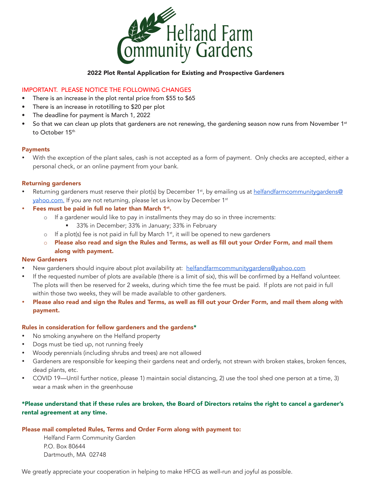

#### 2022 Plot Rental Application for Existing and Prospective Gardeners

### IMPORTANT. PLEASE NOTICE THE FOLLOWING CHANGES

- There is an increase in the plot rental price from \$55 to \$65
- There is an increase in rototilling to \$20 per plot
- The deadline for payment is March 1, 2022
- So that we can clean up plots that gardeners are not renewing, the gardening season now runs from November  $1<sup>st</sup>$ to October 15<sup>th</sup>

### Payments

With the exception of the plant sales, cash is not accepted as a form of payment. Only checks are accepted, either a personal check, or an online payment from your bank.

## Returning gardeners

Returning gardeners must reserve their plot(s) by December 1<sup>st</sup>, by emailing us at helfandfarmcommunitygardens@ yahoo.com. If you are not returning, please let us know by December 1st

## • Fees must be paid in full no later than March  $1<sup>st</sup>$ .

- $\circ$  If a gardener would like to pay in installments they may do so in three increments:
	- 33% in December; 33% in January; 33% in February
- $\circ$  If a plot(s) fee is not paid in full by March 1<sup>st</sup>, it will be opened to new gardeners
- Please also read and sign the Rules and Terms, as well as fill out your Order Form, and mail them along with payment.

### New Gardeners

- New gardeners should inquire about plot availability at: helfandfarmcommunitygardens@yahoo.com
- If the requested number of plots are available (there is a limit of six), this will be confirmed by a Helfand volunteer. The plots will then be reserved for 2 weeks, during which time the fee must be paid. If plots are not paid in full within those two weeks, they will be made available to other gardeners.
- • Please also read and sign the Rules and Terms, as well as fill out your Order Form, and mail them along with payment.

### Rules in consideration for fellow gardeners and the gardens\*

- No smoking anywhere on the Helfand property
- Dogs must be tied up, not running freely
- Woody perennials (including shrubs and trees) are not allowed
- Gardeners are responsible for keeping their gardens neat and orderly, not strewn with broken stakes, broken fences, dead plants, etc.
- COVID 19—Until further notice, please 1) maintain social distancing, 2) use the tool shed one person at a time, 3) wear a mask when in the greenhouse

## \*Please understand that if these rules are broken, the Board of Directors retains the right to cancel a gardener's rental agreement at any time.

### Please mail completed Rules, Terms and Order Form along with payment to:

Helfand Farm Community Garden P.O. Box 80644 Dartmouth, MA 02748

We greatly appreciate your cooperation in helping to make HFCG as well-run and joyful as possible.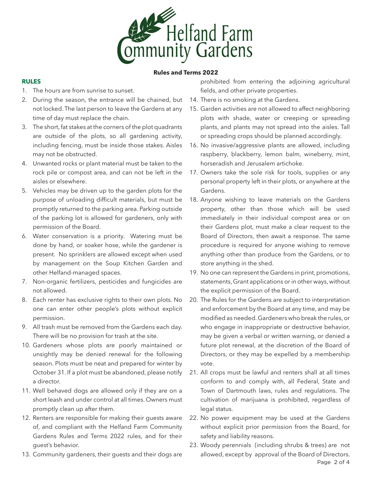

#### **Rules and Terms 2022**

## **RULES**

- 1. The hours are from sunrise to sunset.
- 2. During the season, the entrance will be chained, but not locked. The last person to leave the Gardens at any time of day must replace the chain.
- 3. The short, fat stakes at the corners of the plot quadrants are outside of the plots, so all gardening activity, including fencing, must be inside those stakes. Aisles may not be obstructed.
- 4. Unwanted rocks or plant material must be taken to the rock pile or compost area, and can not be left in the aisles or elsewhere.
- 5. Vehicles may be driven up to the garden plots for the purpose of unloading difficult materials, but must be promptly returned to the parking area. Parking outside of the parking lot is allowed for gardeners, only with permission of the Board.
- 6. Water conservation is a priority. Watering must be done by hand, or soaker hose, while the gardener is present. No sprinklers are allowed except when used by management on the Soup Kitchen Garden and other Helfand-managed spaces.
- 7. Non-organic fertilizers, pesticides and fungicides are not allowed.
- 8. Each renter has exclusive rights to their own plots. No one can enter other people's plots without explicit permission.
- 9. All trash must be removed from the Gardens each day. There will be no provision for trash at the site.
- 10. Gardeners whose plots are poorly maintained or unsightly may be denied renewal for the following season. Plots must be neat and prepared for winter by October 31. If a plot must be abandoned, please notify a director.
- 11. Well behaved dogs are allowed only if they are on a short leash and under control at all times. Owners must promptly clean up after them.
- 12. Renters are responsible for making their guests aware of, and compliant with the Helfand Farm Community Gardens Rules and Terms 2022 rules, and for their guest's behavior.
- 13. Community gardeners, their guests and their dogs are

prohibited from entering the adjoining agricultural fields, and other private properties.

- 14. There is no smoking at the Gardens.
- 15. Garden activities are not allowed to affect neighboring plots with shade, water or creeping or spreading plants, and plants may not spread into the aisles. Tall or spreading crops should be planned accordingly.
- 16. No invasive/aggressive plants are allowed, including raspberry, blackberry, lemon balm, wineberry, mint, horseradish and Jerusalem artichoke.
- 17. Owners take the sole risk for tools, supplies or any personal property left in their plots, or anywhere at the Gardens.
- 18. Anyone wishing to leave materials on the Gardens property, other than those which will be used immediately in their individual compost area or on their Gardens plot, must make a clear request to the Board of Directors, then await a response. The same procedure is required for anyone wishing to remove anything other than produce from the Gardens, or to store anything in the shed.
- 19. No one can represent the Gardens in print, promotions, statements, Grant applications or in other ways, without the explicit permission of the Board.
- 20. The Rules for the Gardens are subject to interpretation and enforcement by the Board at any time, and may be modified as needed. Gardeners who break the rules, or who engage in inappropriate or destructive behavior, may be given a verbal or written warning, or denied a future plot renewal, at the discretion of the Board of Directors, or they may be expelled by a membership vote.
- 21. All crops must be lawful and renters shall at all times conform to and comply with, all Federal, State and Town of Dartmouth laws, rules and regulations. The cultivation of marijuana is prohibited, regardless of legal status.
- 22. No power equipment may be used at the Gardens without explicit prior permission from the Board, for safety and liability reasons.
- 23. Woody perennials (including shrubs & trees) are not allowed, except by approval of the Board of Directors.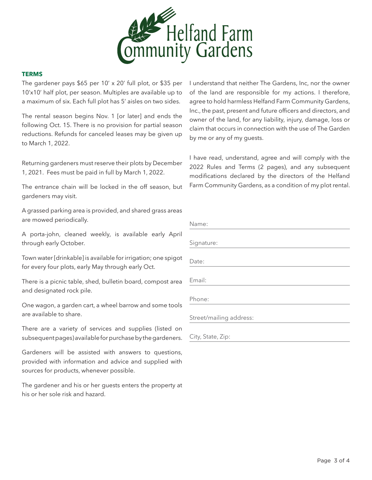

#### **TERMS**

The gardener pays \$65 per 10' x 20' full plot, or \$35 per 10'x10' half plot, per season. Multiples are available up to a maximum of six. Each full plot has 5' aisles on two sides.

The rental season begins Nov. 1 [or later] and ends the following Oct. 15. There is no provision for partial season reductions. Refunds for canceled leases may be given up to March 1, 2022.

Returning gardeners must reserve their plots by December 1, 2021. Fees must be paid in full by March 1, 2022.

The entrance chain will be locked in the off season, but gardeners may visit.

A grassed parking area is provided, and shared grass areas are mowed periodically.

A porta-john, cleaned weekly, is available early April through early October.

Town water [drinkable] is available for irrigation; one spigot for every four plots, early May through early Oct.

There is a picnic table, shed, bulletin board, compost area and designated rock pile.

One wagon, a garden cart, a wheel barrow and some tools are available to share.

There are a variety of services and supplies (listed on subsequent pages) available for purchase by the gardeners.

Gardeners will be assisted with answers to questions, provided with information and advice and supplied with sources for products, whenever possible.

The gardener and his or her guests enters the property at his or her sole risk and hazard.

I understand that neither The Gardens, Inc, nor the owner of the land are responsible for my actions. I therefore, agree to hold harmless Helfand Farm Community Gardens, Inc., the past, present and future officers and directors, and owner of the land, for any liability, injury, damage, loss or claim that occurs in connection with the use of The Garden by me or any of my guests.

I have read, understand, agree and will comply with the 2022 Rules and Terms (2 pages), and any subsequent modifications declared by the directors of the Helfand Farm Community Gardens, as a condition of my plot rental.

| Name:                   |
|-------------------------|
| Signature:              |
|                         |
| Date:                   |
| Email:                  |
| Phone:                  |
| Street/mailing address: |
| City, State, Zip:       |